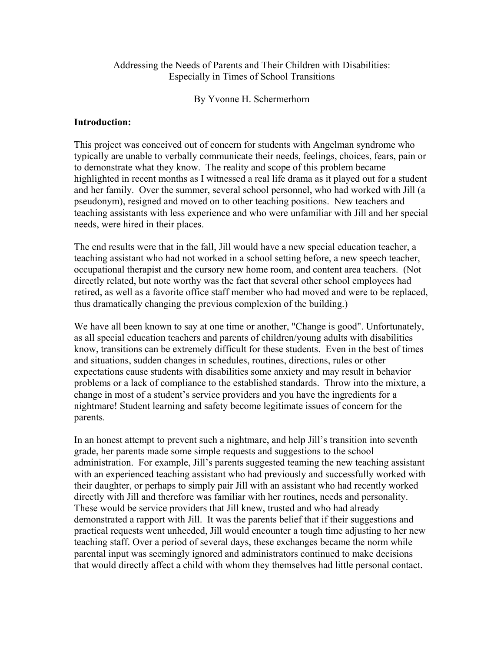### Addressing the Needs of Parents and Their Children with Disabilities: Especially in Times of School Transitions

By Yvonne H. Schermerhorn

#### **Introduction:**

This project was conceived out of concern for students with Angelman syndrome who typically are unable to verbally communicate their needs, feelings, choices, fears, pain or to demonstrate what they know. The reality and scope of this problem became highlighted in recent months as I witnessed a real life drama as it played out for a student and her family. Over the summer, several school personnel, who had worked with Jill (a pseudonym), resigned and moved on to other teaching positions. New teachers and teaching assistants with less experience and who were unfamiliar with Jill and her special needs, were hired in their places.

The end results were that in the fall, Jill would have a new special education teacher, a teaching assistant who had not worked in a school setting before, a new speech teacher, occupational therapist and the cursory new home room, and content area teachers. (Not directly related, but note worthy was the fact that several other school employees had retired, as well as a favorite office staff member who had moved and were to be replaced, thus dramatically changing the previous complexion of the building.)

We have all been known to say at one time or another, "Change is good". Unfortunately, as all special education teachers and parents of children/young adults with disabilities know, transitions can be extremely difficult for these students. Even in the best of times and situations, sudden changes in schedules, routines, directions, rules or other expectations cause students with disabilities some anxiety and may result in behavior problems or a lack of compliance to the established standards. Throw into the mixture, a change in most of a student's service providers and you have the ingredients for a nightmare! Student learning and safety become legitimate issues of concern for the parents.

In an honest attempt to prevent such a nightmare, and help Jill's transition into seventh grade, her parents made some simple requests and suggestions to the school administration. For example, Jill's parents suggested teaming the new teaching assistant with an experienced teaching assistant who had previously and successfully worked with their daughter, or perhaps to simply pair Jill with an assistant who had recently worked directly with Jill and therefore was familiar with her routines, needs and personality. These would be service providers that Jill knew, trusted and who had already demonstrated a rapport with Jill. It was the parents belief that if their suggestions and practical requests went unheeded, Jill would encounter a tough time adjusting to her new teaching staff. Over a period of several days, these exchanges became the norm while parental input was seemingly ignored and administrators continued to make decisions that would directly affect a child with whom they themselves had little personal contact.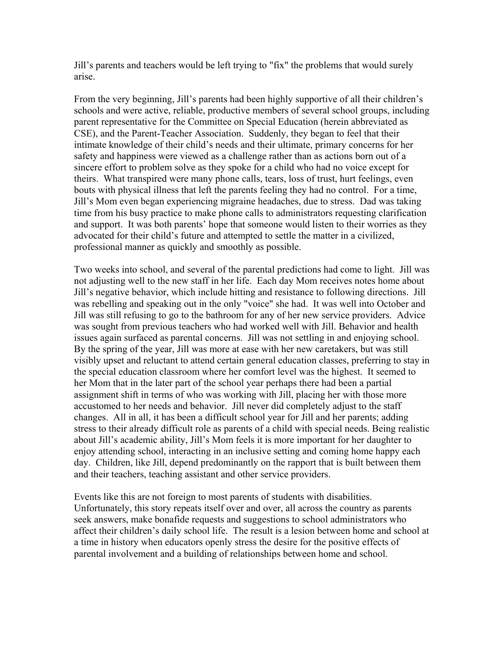Jill's parents and teachers would be left trying to "fix" the problems that would surely arise.

From the very beginning, Jill's parents had been highly supportive of all their children's schools and were active, reliable, productive members of several school groups, including parent representative for the Committee on Special Education (herein abbreviated as CSE), and the Parent-Teacher Association. Suddenly, they began to feel that their intimate knowledge of their child's needs and their ultimate, primary concerns for her safety and happiness were viewed as a challenge rather than as actions born out of a sincere effort to problem solve as they spoke for a child who had no voice except for theirs. What transpired were many phone calls, tears, loss of trust, hurt feelings, even bouts with physical illness that left the parents feeling they had no control. For a time, Jill's Mom even began experiencing migraine headaches, due to stress. Dad was taking time from his busy practice to make phone calls to administrators requesting clarification and support. It was both parents' hope that someone would listen to their worries as they advocated for their child's future and attempted to settle the matter in a civilized, professional manner as quickly and smoothly as possible.

Two weeks into school, and several of the parental predictions had come to light. Jill was not adjusting well to the new staff in her life. Each day Mom receives notes home about Jill's negative behavior, which include hitting and resistance to following directions. Jill was rebelling and speaking out in the only "voice" she had. It was well into October and Jill was still refusing to go to the bathroom for any of her new service providers. Advice was sought from previous teachers who had worked well with Jill. Behavior and health issues again surfaced as parental concerns. Jill was not settling in and enjoying school. By the spring of the year, Jill was more at ease with her new caretakers, but was still visibly upset and reluctant to attend certain general education classes, preferring to stay in the special education classroom where her comfort level was the highest. It seemed to her Mom that in the later part of the school year perhaps there had been a partial assignment shift in terms of who was working with Jill, placing her with those more accustomed to her needs and behavior. Jill never did completely adjust to the staff changes. All in all, it has been a difficult school year for Jill and her parents; adding stress to their already difficult role as parents of a child with special needs. Being realistic about Jill's academic ability, Jill's Mom feels it is more important for her daughter to enjoy attending school, interacting in an inclusive setting and coming home happy each day. Children, like Jill, depend predominantly on the rapport that is built between them and their teachers, teaching assistant and other service providers.

Events like this are not foreign to most parents of students with disabilities. Unfortunately, this story repeats itself over and over, all across the country as parents seek answers, make bonafide requests and suggestions to school administrators who affect their children's daily school life. The result is a lesion between home and school at a time in history when educators openly stress the desire for the positive effects of parental involvement and a building of relationships between home and school.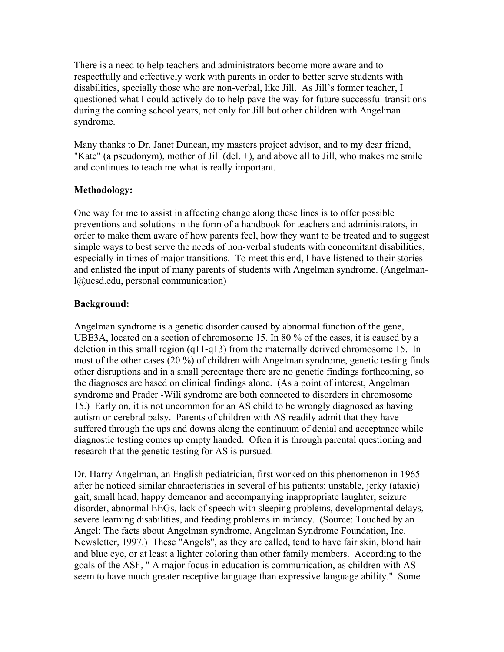There is a need to help teachers and administrators become more aware and to respectfully and effectively work with parents in order to better serve students with disabilities, specially those who are non-verbal, like Jill. As Jill's former teacher, I questioned what I could actively do to help pave the way for future successful transitions during the coming school years, not only for Jill but other children with Angelman syndrome.

Many thanks to Dr. Janet Duncan, my masters project advisor, and to my dear friend, "Kate" (a pseudonym), mother of Jill (del. +), and above all to Jill, who makes me smile and continues to teach me what is really important.

# **Methodology:**

One way for me to assist in affecting change along these lines is to offer possible preventions and solutions in the form of a handbook for teachers and administrators, in order to make them aware of how parents feel, how they want to be treated and to suggest simple ways to best serve the needs of non-verbal students with concomitant disabilities, especially in times of major transitions. To meet this end, I have listened to their stories and enlisted the input of many parents of students with Angelman syndrome. (Angelmanl@ucsd.edu, personal communication)

# **Background:**

Angelman syndrome is a genetic disorder caused by abnormal function of the gene, UBE3A, located on a section of chromosome 15. In 80 % of the cases, it is caused by a deletion in this small region (q11-q13) from the maternally derived chromosome 15. In most of the other cases (20 %) of children with Angelman syndrome, genetic testing finds other disruptions and in a small percentage there are no genetic findings forthcoming, so the diagnoses are based on clinical findings alone. (As a point of interest, Angelman syndrome and Prader -Wili syndrome are both connected to disorders in chromosome 15.) Early on, it is not uncommon for an AS child to be wrongly diagnosed as having autism or cerebral palsy. Parents of children with AS readily admit that they have suffered through the ups and downs along the continuum of denial and acceptance while diagnostic testing comes up empty handed. Often it is through parental questioning and research that the genetic testing for AS is pursued.

Dr. Harry Angelman, an English pediatrician, first worked on this phenomenon in 1965 after he noticed similar characteristics in several of his patients: unstable, jerky (ataxic) gait, small head, happy demeanor and accompanying inappropriate laughter, seizure disorder, abnormal EEGs, lack of speech with sleeping problems, developmental delays, severe learning disabilities, and feeding problems in infancy. (Source: Touched by an Angel: The facts about Angelman syndrome, Angelman Syndrome Foundation, Inc. Newsletter, 1997.) These "Angels", as they are called, tend to have fair skin, blond hair and blue eye, or at least a lighter coloring than other family members. According to the goals of the ASF, " A major focus in education is communication, as children with AS seem to have much greater receptive language than expressive language ability." Some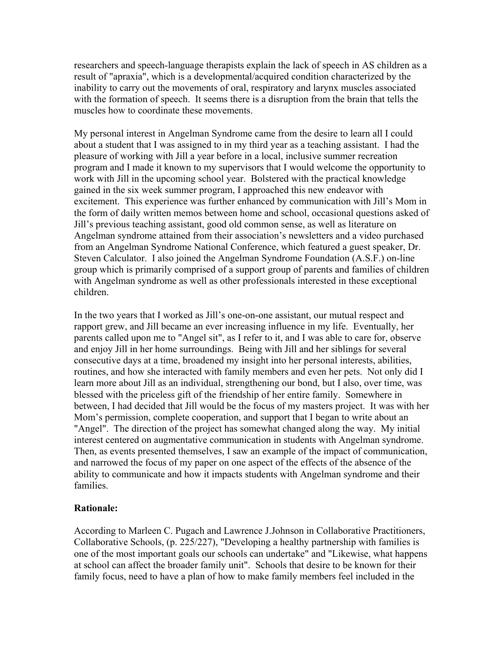researchers and speech-language therapists explain the lack of speech in AS children as a result of "apraxia", which is a developmental/acquired condition characterized by the inability to carry out the movements of oral, respiratory and larynx muscles associated with the formation of speech. It seems there is a disruption from the brain that tells the muscles how to coordinate these movements.

My personal interest in Angelman Syndrome came from the desire to learn all I could about a student that I was assigned to in my third year as a teaching assistant. I had the pleasure of working with Jill a year before in a local, inclusive summer recreation program and I made it known to my supervisors that I would welcome the opportunity to work with Jill in the upcoming school year. Bolstered with the practical knowledge gained in the six week summer program, I approached this new endeavor with excitement. This experience was further enhanced by communication with Jill's Mom in the form of daily written memos between home and school, occasional questions asked of Jill's previous teaching assistant, good old common sense, as well as literature on Angelman syndrome attained from their association's newsletters and a video purchased from an Angelman Syndrome National Conference, which featured a guest speaker, Dr. Steven Calculator. I also joined the Angelman Syndrome Foundation (A.S.F.) on-line group which is primarily comprised of a support group of parents and families of children with Angelman syndrome as well as other professionals interested in these exceptional children.

In the two years that I worked as Jill's one-on-one assistant, our mutual respect and rapport grew, and Jill became an ever increasing influence in my life. Eventually, her parents called upon me to "Angel sit", as I refer to it, and I was able to care for, observe and enjoy Jill in her home surroundings. Being with Jill and her siblings for several consecutive days at a time, broadened my insight into her personal interests, abilities, routines, and how she interacted with family members and even her pets. Not only did I learn more about Jill as an individual, strengthening our bond, but I also, over time, was blessed with the priceless gift of the friendship of her entire family. Somewhere in between, I had decided that Jill would be the focus of my masters project. It was with her Mom's permission, complete cooperation, and support that I began to write about an "Angel". The direction of the project has somewhat changed along the way. My initial interest centered on augmentative communication in students with Angelman syndrome. Then, as events presented themselves, I saw an example of the impact of communication, and narrowed the focus of my paper on one aspect of the effects of the absence of the ability to communicate and how it impacts students with Angelman syndrome and their families.

#### **Rationale:**

According to Marleen C. Pugach and Lawrence J.Johnson in Collaborative Practitioners, Collaborative Schools, (p. 225/227), "Developing a healthy partnership with families is one of the most important goals our schools can undertake" and "Likewise, what happens at school can affect the broader family unit". Schools that desire to be known for their family focus, need to have a plan of how to make family members feel included in the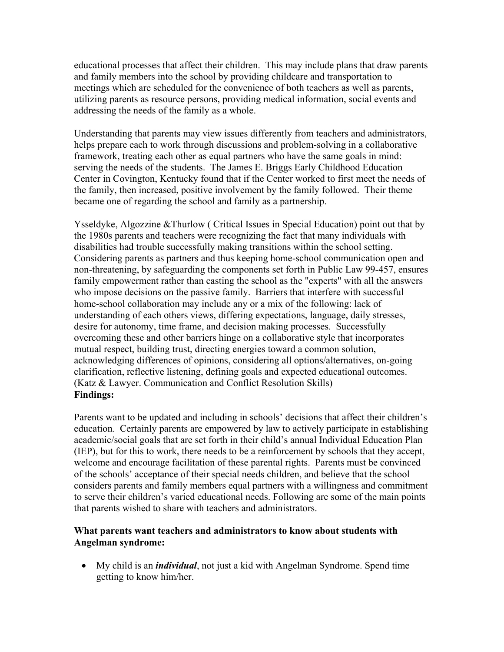educational processes that affect their children. This may include plans that draw parents and family members into the school by providing childcare and transportation to meetings which are scheduled for the convenience of both teachers as well as parents, utilizing parents as resource persons, providing medical information, social events and addressing the needs of the family as a whole.

Understanding that parents may view issues differently from teachers and administrators, helps prepare each to work through discussions and problem-solving in a collaborative framework, treating each other as equal partners who have the same goals in mind: serving the needs of the students. The James E. Briggs Early Childhood Education Center in Covington, Kentucky found that if the Center worked to first meet the needs of the family, then increased, positive involvement by the family followed. Their theme became one of regarding the school and family as a partnership.

Ysseldyke, Algozzine &Thurlow ( Critical Issues in Special Education) point out that by the 1980s parents and teachers were recognizing the fact that many individuals with disabilities had trouble successfully making transitions within the school setting. Considering parents as partners and thus keeping home-school communication open and non-threatening, by safeguarding the components set forth in Public Law 99-457, ensures family empowerment rather than casting the school as the "experts" with all the answers who impose decisions on the passive family. Barriers that interfere with successful home-school collaboration may include any or a mix of the following: lack of understanding of each others views, differing expectations, language, daily stresses, desire for autonomy, time frame, and decision making processes. Successfully overcoming these and other barriers hinge on a collaborative style that incorporates mutual respect, building trust, directing energies toward a common solution, acknowledging differences of opinions, considering all options/alternatives, on-going clarification, reflective listening, defining goals and expected educational outcomes. (Katz & Lawyer. Communication and Conflict Resolution Skills) **Findings:**

Parents want to be updated and including in schools' decisions that affect their children's education. Certainly parents are empowered by law to actively participate in establishing academic/social goals that are set forth in their child's annual Individual Education Plan (IEP), but for this to work, there needs to be a reinforcement by schools that they accept, welcome and encourage facilitation of these parental rights. Parents must be convinced of the schools' acceptance of their special needs children, and believe that the school considers parents and family members equal partners with a willingness and commitment to serve their children's varied educational needs. Following are some of the main points that parents wished to share with teachers and administrators.

## **What parents want teachers and administrators to know about students with Angelman syndrome:**

• My child is an *individual*, not just a kid with Angelman Syndrome. Spend time getting to know him/her.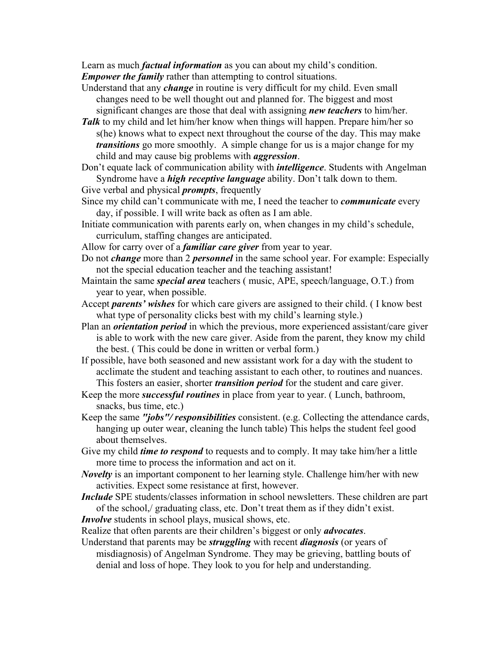Learn as much *factual information* as you can about my child's condition. *Empower the family* rather than attempting to control situations.

- Understand that any *change* in routine is very difficult for my child. Even small changes need to be well thought out and planned for. The biggest and most significant changes are those that deal with assigning *new teachers* to him/her.
- *Talk* to my child and let him/her know when things will happen. Prepare him/her so s(he) knows what to expect next throughout the course of the day. This may make *transitions* go more smoothly. A simple change for us is a major change for my child and may cause big problems with *aggression*.
- Don't equate lack of communication ability with *intelligence*. Students with Angelman Syndrome have a *high receptive language* ability. Don't talk down to them.
- Give verbal and physical *prompts*, frequently
- Since my child can't communicate with me, I need the teacher to *communicate* every day, if possible. I will write back as often as I am able.
- Initiate communication with parents early on, when changes in my child's schedule, curriculum, staffing changes are anticipated.
- Allow for carry over of a *familiar care giver* from year to year.
- Do not *change* more than 2 *personnel* in the same school year. For example: Especially not the special education teacher and the teaching assistant!
- Maintain the same *special area* teachers ( music, APE, speech/language, O.T.) from year to year, when possible.
- Accept *parents' wishes* for which care givers are assigned to their child. ( I know best what type of personality clicks best with my child's learning style.)
- Plan an *orientation period* in which the previous, more experienced assistant/care giver is able to work with the new care giver. Aside from the parent, they know my child the best. ( This could be done in written or verbal form.)
- If possible, have both seasoned and new assistant work for a day with the student to acclimate the student and teaching assistant to each other, to routines and nuances. This fosters an easier, shorter *transition period* for the student and care giver.
- Keep the more *successful routines* in place from year to year. ( Lunch, bathroom, snacks, bus time, etc.)
- Keep the same *"jobs"/ responsibilities* consistent. (e.g. Collecting the attendance cards, hanging up outer wear, cleaning the lunch table) This helps the student feel good about themselves.
- Give my child *time to respond* to requests and to comply. It may take him/her a little more time to process the information and act on it.
- *Novelty* is an important component to her learning style. Challenge him/her with new activities. Expect some resistance at first, however.
- *Include* SPE students/classes information in school newsletters. These children are part of the school,/ graduating class, etc. Don't treat them as if they didn't exist.
- *Involve* students in school plays, musical shows, etc.

Realize that often parents are their children's biggest or only *advocates*.

Understand that parents may be *struggling* with recent *diagnosis* (or years of misdiagnosis) of Angelman Syndrome. They may be grieving, battling bouts of denial and loss of hope. They look to you for help and understanding.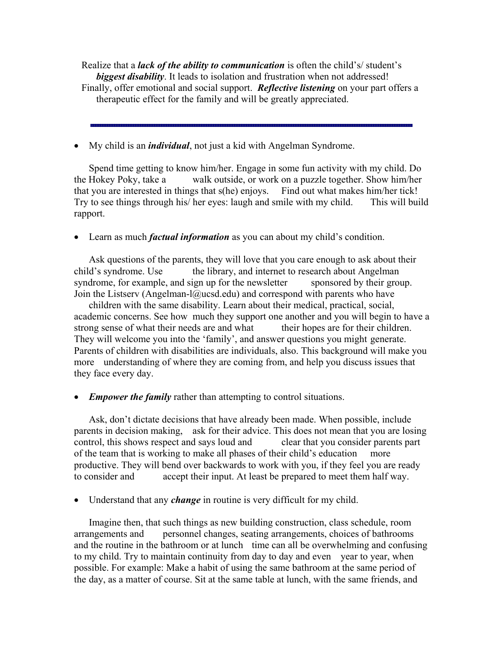Realize that a *lack of the ability to communication* is often the child's/ student's *biggest disability*. It leads to isolation and frustration when not addressed! Finally, offer emotional and social support. *Reflective listening* on your part offers a therapeutic effect for the family and will be greatly appreciated.

• My child is an *individual*, not just a kid with Angelman Syndrome.

Spend time getting to know him/her. Engage in some fun activity with my child. Do the Hokey Poky, take a walk outside, or work on a puzzle together. Show him/her that you are interested in things that s(he) enjoys. Find out what makes him/her tick! Try to see things through his/ her eyes: laugh and smile with my child. This will build rapport.

• Learn as much *factual information* as you can about my child's condition.

Ask questions of the parents, they will love that you care enough to ask about their child's syndrome. Use the library, and internet to research about Angelman syndrome, for example, and sign up for the newsletter sponsored by their group. Join the Listserv (Angelman-l@ucsd.edu) and correspond with parents who have

children with the same disability. Learn about their medical, practical, social, academic concerns. See how much they support one another and you will begin to have a strong sense of what their needs are and what their hopes are for their children. They will welcome you into the 'family', and answer questions you might generate. Parents of children with disabilities are individuals, also. This background will make you more understanding of where they are coming from, and help you discuss issues that they face every day.

• *Empower the family* rather than attempting to control situations.

Ask, don't dictate decisions that have already been made. When possible, include parents in decision making, ask for their advice. This does not mean that you are losing control, this shows respect and says loud and clear that you consider parents part of the team that is working to make all phases of their child's education more productive. They will bend over backwards to work with you, if they feel you are ready to consider and accept their input. At least be prepared to meet them half way.

• Understand that any *change* in routine is very difficult for my child.

Imagine then, that such things as new building construction, class schedule, room arrangements and personnel changes, seating arrangements, choices of bathrooms and the routine in the bathroom or at lunch time can all be overwhelming and confusing to my child. Try to maintain continuity from day to day and even year to year, when possible. For example: Make a habit of using the same bathroom at the same period of the day, as a matter of course. Sit at the same table at lunch, with the same friends, and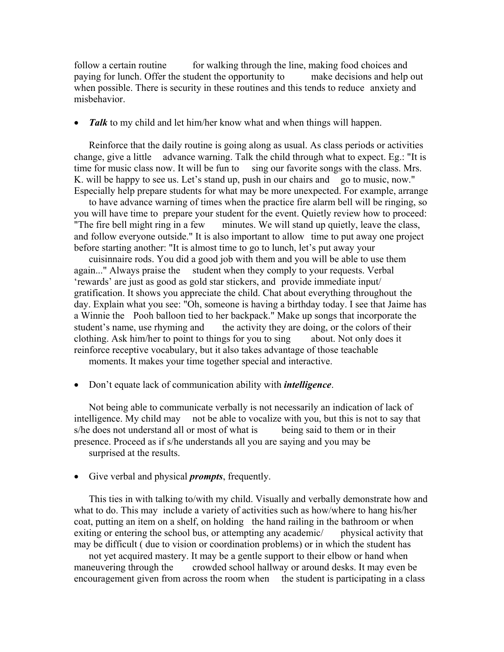follow a certain routine for walking through the line, making food choices and paying for lunch. Offer the student the opportunity to make decisions and help out when possible. There is security in these routines and this tends to reduce anxiety and misbehavior.

• *Talk* to my child and let him/her know what and when things will happen.

 Reinforce that the daily routine is going along as usual. As class periods or activities change, give a little advance warning. Talk the child through what to expect. Eg.: "It is time for music class now. It will be fun to sing our favorite songs with the class. Mrs. K, will be happy to see us. Let's stand up, push in our chairs and go to music, now." Especially help prepare students for what may be more unexpected. For example, arrange

 to have advance warning of times when the practice fire alarm bell will be ringing, so you will have time to prepare your student for the event. Quietly review how to proceed: "The fire bell might ring in a few minutes. We will stand up quietly, leave the class, and follow everyone outside." It is also important to allow time to put away one project before starting another: "It is almost time to go to lunch, let's put away your

 cuisinnaire rods. You did a good job with them and you will be able to use them again..." Always praise the student when they comply to your requests. Verbal 'rewards' are just as good as gold star stickers, and provide immediate input/ gratification. It shows you appreciate the child. Chat about everything throughout the day. Explain what you see: "Oh, someone is having a birthday today. I see that Jaime has a Winnie the Pooh balloon tied to her backpack." Make up songs that incorporate the student's name, use rhyming and the activity they are doing, or the colors of their clothing. Ask him/her to point to things for you to sing about. Not only does it reinforce receptive vocabulary, but it also takes advantage of those teachable

moments. It makes your time together special and interactive.

• Don't equate lack of communication ability with *intelligence*.

 Not being able to communicate verbally is not necessarily an indication of lack of intelligence. My child may not be able to vocalize with you, but this is not to say that s/he does not understand all or most of what is being said to them or in their presence. Proceed as if s/he understands all you are saying and you may be surprised at the results.

• Give verbal and physical *prompts*, frequently.

 This ties in with talking to/with my child. Visually and verbally demonstrate how and what to do. This may include a variety of activities such as how/where to hang his/her coat, putting an item on a shelf, on holding the hand railing in the bathroom or when exiting or entering the school bus, or attempting any academic/ physical activity that may be difficult ( due to vision or coordination problems) or in which the student has

 not yet acquired mastery. It may be a gentle support to their elbow or hand when maneuvering through the crowded school hallway or around desks. It may even be encouragement given from across the room when the student is participating in a class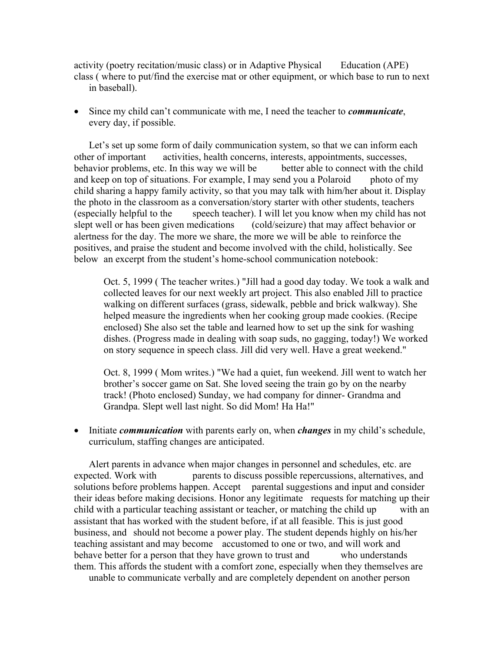activity (poetry recitation/music class) or in Adaptive Physical Education (APE) class ( where to put/find the exercise mat or other equipment, or which base to run to next in baseball).

• Since my child can't communicate with me, I need the teacher to *communicate*, every day, if possible.

Let's set up some form of daily communication system, so that we can inform each other of important activities, health concerns, interests, appointments, successes, behavior problems, etc. In this way we will be better able to connect with the child and keep on top of situations. For example, I may send you a Polaroid photo of my child sharing a happy family activity, so that you may talk with him/her about it. Display the photo in the classroom as a conversation/story starter with other students, teachers (especially helpful to the speech teacher). I will let you know when my child has not slept well or has been given medications (cold/seizure) that may affect behavior or alertness for the day. The more we share, the more we will be able to reinforce the positives, and praise the student and become involved with the child, holistically. See below an excerpt from the student's home-school communication notebook:

Oct. 5, 1999 ( The teacher writes.) "Jill had a good day today. We took a walk and collected leaves for our next weekly art project. This also enabled Jill to practice walking on different surfaces (grass, sidewalk, pebble and brick walkway). She helped measure the ingredients when her cooking group made cookies. (Recipe enclosed) She also set the table and learned how to set up the sink for washing dishes. (Progress made in dealing with soap suds, no gagging, today!) We worked on story sequence in speech class. Jill did very well. Have a great weekend."

Oct. 8, 1999 ( Mom writes.) "We had a quiet, fun weekend. Jill went to watch her brother's soccer game on Sat. She loved seeing the train go by on the nearby track! (Photo enclosed) Sunday, we had company for dinner- Grandma and Grandpa. Slept well last night. So did Mom! Ha Ha!"

• Initiate *communication* with parents early on, when *changes* in my child's schedule, curriculum, staffing changes are anticipated.

 Alert parents in advance when major changes in personnel and schedules, etc. are expected. Work with parents to discuss possible repercussions, alternatives, and solutions before problems happen. Accept parental suggestions and input and consider their ideas before making decisions. Honor any legitimate requests for matching up their child with a particular teaching assistant or teacher, or matching the child up with an assistant that has worked with the student before, if at all feasible. This is just good business, and should not become a power play. The student depends highly on his/her teaching assistant and may become accustomed to one or two, and will work and behave better for a person that they have grown to trust and who understands them. This affords the student with a comfort zone, especially when they themselves are

unable to communicate verbally and are completely dependent on another person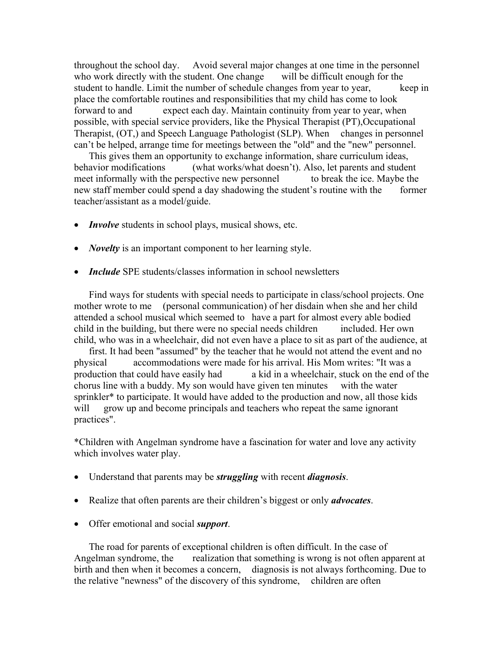throughout the school day. Avoid several major changes at one time in the personnel who work directly with the student. One change will be difficult enough for the student to handle. Limit the number of schedule changes from year to year, keep in place the comfortable routines and responsibilities that my child has come to look forward to and expect each day. Maintain continuity from year to year, when possible, with special service providers, like the Physical Therapist (PT),Occupational Therapist, (OT,) and Speech Language Pathologist (SLP). When changes in personnel can't be helped, arrange time for meetings between the "old" and the "new" personnel.

 This gives them an opportunity to exchange information, share curriculum ideas, behavior modifications (what works/what doesn't). Also, let parents and student meet informally with the perspective new personnel to break the ice. Maybe the new staff member could spend a day shadowing the student's routine with the former teacher/assistant as a model/guide.

- *Involve* students in school plays, musical shows, etc.
- *Novelty* is an important component to her learning style.
- *Include* SPE students/classes information in school newsletters

 Find ways for students with special needs to participate in class/school projects. One mother wrote to me (personal communication) of her disdain when she and her child attended a school musical which seemed to have a part for almost every able bodied child in the building, but there were no special needs children included. Her own child, who was in a wheelchair, did not even have a place to sit as part of the audience, at

 first. It had been "assumed" by the teacher that he would not attend the event and no physical accommodations were made for his arrival. His Mom writes: "It was a production that could have easily had a kid in a wheelchair, stuck on the end of the chorus line with a buddy. My son would have given ten minutes with the water sprinkler<sup>\*</sup> to participate. It would have added to the production and now, all those kids will grow up and become principals and teachers who repeat the same ignorant practices".

\*Children with Angelman syndrome have a fascination for water and love any activity which involves water play.

- Understand that parents may be *struggling* with recent *diagnosis*.
- Realize that often parents are their children's biggest or only *advocates*.
- Offer emotional and social *support*.

 The road for parents of exceptional children is often difficult. In the case of Angelman syndrome, the realization that something is wrong is not often apparent at birth and then when it becomes a concern, diagnosis is not always forthcoming. Due to the relative "newness" of the discovery of this syndrome, children are often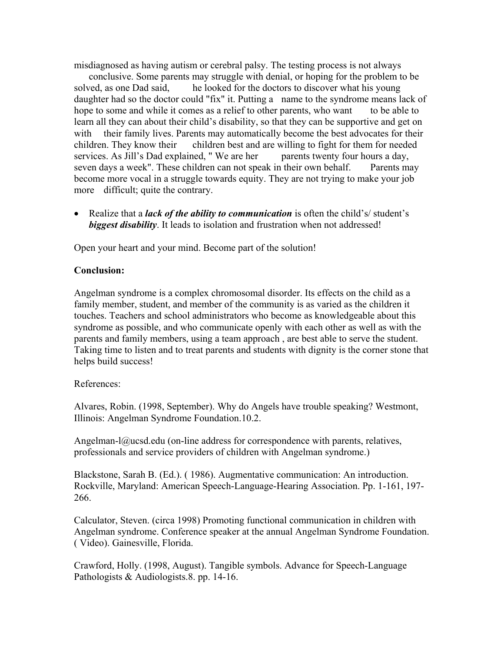misdiagnosed as having autism or cerebral palsy. The testing process is not always

 conclusive. Some parents may struggle with denial, or hoping for the problem to be solved, as one Dad said, he looked for the doctors to discover what his young daughter had so the doctor could "fix" it. Putting a name to the syndrome means lack of hope to some and while it comes as a relief to other parents, who want to be able to learn all they can about their child's disability, so that they can be supportive and get on with their family lives. Parents may automatically become the best advocates for their children. They know their children best and are willing to fight for them for needed services. As Jill's Dad explained, "We are her parents twenty four hours a day, seven days a week". These children can not speak in their own behalf. Parents may become more vocal in a struggle towards equity. They are not trying to make your job more difficult; quite the contrary.

• Realize that a *lack of the ability to communication* is often the child's/ student's *biggest disability*. It leads to isolation and frustration when not addressed!

Open your heart and your mind. Become part of the solution!

## **Conclusion:**

Angelman syndrome is a complex chromosomal disorder. Its effects on the child as a family member, student, and member of the community is as varied as the children it touches. Teachers and school administrators who become as knowledgeable about this syndrome as possible, and who communicate openly with each other as well as with the parents and family members, using a team approach , are best able to serve the student. Taking time to listen and to treat parents and students with dignity is the corner stone that helps build success!

### References:

Alvares, Robin. (1998, September). Why do Angels have trouble speaking? Westmont, Illinois: Angelman Syndrome Foundation.10.2.

Angelman-l $@u\text{csd.edu}$  (on-line address for correspondence with parents, relatives, professionals and service providers of children with Angelman syndrome.)

Blackstone, Sarah B. (Ed.). ( 1986). Augmentative communication: An introduction. Rockville, Maryland: American Speech-Language-Hearing Association. Pp. 1-161, 197- 266.

Calculator, Steven. (circa 1998) Promoting functional communication in children with Angelman syndrome. Conference speaker at the annual Angelman Syndrome Foundation. ( Video). Gainesville, Florida.

Crawford, Holly. (1998, August). Tangible symbols. Advance for Speech-Language Pathologists & Audiologists.8. pp. 14-16.